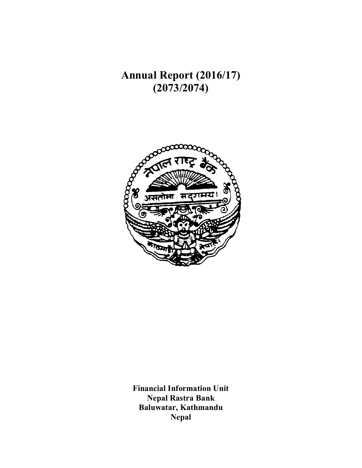**Annual Report (2016/17) (2073/2074)**



**Financial Information Unit Nepal Rastra Bank Baluwatar, Kathmandu Nepal**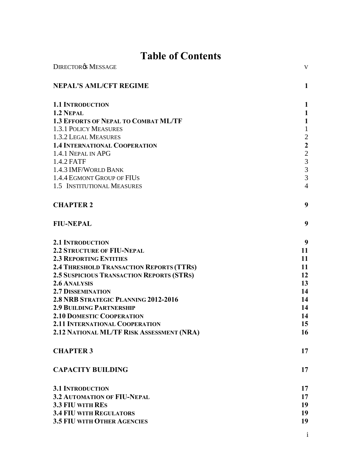# **Table of Contents**

| <b>DIRECTORØS MESSAGE</b>                        | V                       |
|--------------------------------------------------|-------------------------|
| <b>NEPAL'S AML/CFT REGIME</b>                    | 1                       |
| <b>1.1 INTRODUCTION</b>                          | $\mathbf{1}$            |
| 1.2 NEPAL                                        | $\mathbf{1}$            |
| <b>1.3 EFFORTS OF NEPAL TO COMBAT ML/TF</b>      | $\mathbf{1}$            |
| <b>1.3.1 POLICY MEASURES</b>                     | $\mathbf{1}$            |
| 1.3.2 LEGAL MEASURES                             | $\sqrt{2}$              |
| <b>1.4 INTERNATIONAL COOPERATION</b>             | $\overline{\mathbf{c}}$ |
| 1.4.1 NEPAL IN APG                               | $\frac{2}{3}$           |
| 1.4.2 FATF                                       |                         |
| 1.4.3 IMF/WORLD BANK                             | $\overline{3}$          |
| 1.4.4 EGMONT GROUP OF FIUS                       | $\overline{3}$          |
| 1.5 INSTITUTIONAL MEASURES                       | $\overline{4}$          |
| <b>CHAPTER 2</b>                                 | 9                       |
| <b>FIU-NEPAL</b>                                 | 9                       |
| <b>2.1 INTRODUCTION</b>                          | 9                       |
| <b>2.2 STRUCTURE OF FIU-NEPAL</b>                | 11                      |
| <b>2.3 REPORTING ENTITIES</b>                    | 11                      |
| 2.4 THRESHOLD TRANSACTION REPORTS (TTRS)         | 11                      |
| <b>2.5 SUSPICIOUS TRANSACTION REPORTS (STRS)</b> | 12                      |
| 2.6 ANALYSIS                                     | 13                      |
| <b>2.7 DISSEMINATION</b>                         | 14                      |
| 2.8 NRB STRATEGIC PLANNING 2012-2016             | 14                      |
| <b>2.9 BUILDING PARTNERSHIP</b>                  | 14                      |
| <b>2.10 DOMESTIC COOPERATION</b>                 | 14                      |
| 2.11 INTERNATIONAL COOPERATION                   | 15                      |
| 2.12 NATIONAL ML/TF RISK ASSESSMENT (NRA)        | 16                      |
| <b>CHAPTER 3</b>                                 | 17                      |
| <b>CAPACITY BUILDING</b>                         | 17                      |
| <b>3.1 INTRODUCTION</b>                          | 17                      |
| <b>3.2 AUTOMATION OF FIU-NEPAL</b>               | 17                      |
| 3.3 FIU WITH RES                                 | 19                      |
| <b>3.4 FIU WITH REGULATORS</b>                   | 19                      |
| <b>3.5 FIU WITH OTHER AGENCIES</b>               | 19                      |
|                                                  |                         |

i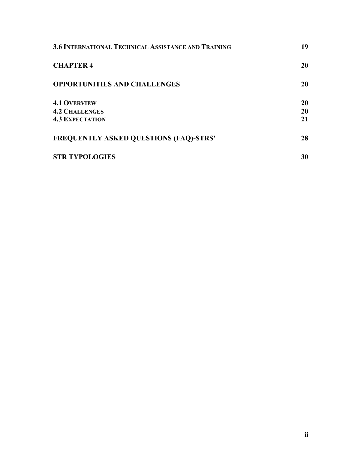| <b>3.6 INTERNATIONAL TECHNICAL ASSISTANCE AND TRAINING</b> | 19 |
|------------------------------------------------------------|----|
| <b>CHAPTER 4</b>                                           | 20 |
| <b>OPPORTUNITIES AND CHALLENGES</b>                        | 20 |
| <b>4.1 OVERVIEW</b>                                        | 20 |
| <b>4.2 CHALLENGES</b>                                      | 20 |
| <b>4.3 EXPECTATION</b>                                     | 21 |
| <b>FREQUENTLY ASKED QUESTIONS (FAQ)-STRS'</b>              | 28 |
| <b>STR TYPOLOGIES</b>                                      | 30 |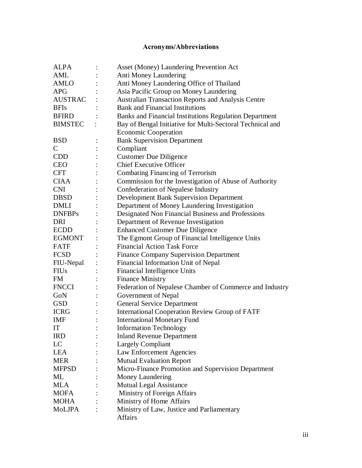## **Acronyms/Abbreviations**

| <b>ALPA</b>    | Asset (Money) Laundering Prevention Act                       |
|----------------|---------------------------------------------------------------|
| AML            | Anti Money Laundering                                         |
| <b>AMLO</b>    | Anti Money Laundering Office of Thailand                      |
| <b>APG</b>     | Asia Pacific Group on Money Laundering                        |
| <b>AUSTRAC</b> | Australian Transaction Reports and Analysis Centre            |
| <b>BFIs</b>    | <b>Bank and Financial Institutions</b>                        |
| BFIRD          | <b>Banks and Financial Institutions Regulation Department</b> |
| <b>BIMSTEC</b> | Bay of Bengal Initiative for Multi-Sectoral Technical and     |
|                | <b>Economic Cooperation</b>                                   |
| <b>BSD</b>     | <b>Bank Supervision Department</b>                            |
| $\mathsf{C}$   | Compliant                                                     |
| <b>CDD</b>     | <b>Customer Due Diligence</b>                                 |
| <b>CEO</b>     | <b>Chief Executive Officer</b>                                |
| <b>CFT</b>     | Combating Financing of Terrorism                              |
| <b>CIAA</b>    | Commission for the Investigation of Abuse of Authority        |
| <b>CNI</b>     | <b>Confederation of Nepalese Industry</b>                     |
| DBSD           | <b>Development Bank Supervision Department</b>                |
| <b>DMLI</b>    | Department of Money Laundering Investigation                  |
| <b>DNFBPs</b>  | Designated Non Financial Business and Professions             |
| DRI            | Department of Revenue Investigation                           |
| <b>ECDD</b>    | <b>Enhanced Customer Due Diligence</b>                        |
| EGMONT         | The Egmont Group of Financial Intelligence Units              |
| <b>FATF</b>    | <b>Financial Action Task Force</b>                            |
| <b>FCSD</b>    | <b>Finance Company Supervision Department</b>                 |
| FIU-Nepal      | Financial Information Unit of Nepal                           |
| <b>FIUs</b>    | Financial Intelligence Units                                  |
| FM             | <b>Finance Ministry</b>                                       |
| <b>FNCCI</b>   | Federation of Nepalese Chamber of Commerce and Industry       |
| GoN            | Government of Nepal                                           |
| <b>GSD</b>     | <b>General Service Department</b>                             |
| <b>ICRG</b>    | <b>International Cooperation Review Group of FATF</b>         |
| <b>IMF</b>     | <b>International Monetary Fund</b>                            |
| IT             | <b>Information Technology</b>                                 |
| <b>IRD</b>     | <b>Inland Revenue Department</b>                              |
| LC             | <b>Largely Compliant</b>                                      |
| <b>LEA</b>     | Law Enforcement Agencies                                      |
| <b>MER</b>     | <b>Mutual Evaluation Report</b>                               |
| <b>MFPSD</b>   | Micro-Finance Promotion and Supervision Department            |
| ML             | Money Laundering                                              |
| <b>MLA</b>     | <b>Mutual Legal Assistance</b>                                |
| <b>MOFA</b>    | Ministry of Foreign Affairs                                   |
| <b>MOHA</b>    | Ministry of Home Affairs                                      |
| MoLJPA         | Ministry of Law, Justice and Parliamentary                    |
|                | <b>Affairs</b>                                                |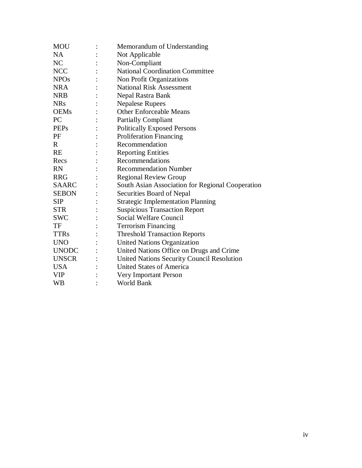| <b>MOU</b>     | Memorandum of Understanding                      |  |
|----------------|--------------------------------------------------|--|
| <b>NA</b>      | Not Applicable                                   |  |
| N <sub>C</sub> | Non-Compliant                                    |  |
| <b>NCC</b>     | <b>National Coordination Committee</b>           |  |
| <b>NPOs</b>    | Non Profit Organizations                         |  |
| <b>NRA</b>     | <b>National Risk Assessment</b>                  |  |
| <b>NRB</b>     | Nepal Rastra Bank                                |  |
| <b>NRs</b>     | <b>Nepalese Rupees</b>                           |  |
| <b>OEMs</b>    | <b>Other Enforceable Means</b>                   |  |
| PC             | <b>Partially Compliant</b>                       |  |
| <b>PEPs</b>    | <b>Politically Exposed Persons</b>               |  |
| PF             | <b>Proliferation Financing</b>                   |  |
| $\mathbf{R}$   | Recommendation                                   |  |
| <b>RE</b>      | <b>Reporting Entities</b>                        |  |
| Recs           | Recommendations                                  |  |
| <b>RN</b>      | <b>Recommendation Number</b>                     |  |
| <b>RRG</b>     | <b>Regional Review Group</b>                     |  |
| <b>SAARC</b>   | South Asian Association for Regional Cooperation |  |
| <b>SEBON</b>   | Securities Board of Nepal                        |  |
| <b>SIP</b>     | <b>Strategic Implementation Planning</b>         |  |
| <b>STR</b>     | <b>Suspicious Transaction Report</b>             |  |
| <b>SWC</b>     | Social Welfare Council                           |  |
| TF             | <b>Terrorism Financing</b>                       |  |
| <b>TTRs</b>    | <b>Threshold Transaction Reports</b>             |  |
| <b>UNO</b>     | <b>United Nations Organization</b>               |  |
| <b>UNODC</b>   | United Nations Office on Drugs and Crime         |  |
| <b>UNSCR</b>   | United Nations Security Council Resolution       |  |
| <b>USA</b>     | <b>United States of America</b>                  |  |
| <b>VIP</b>     | Very Important Person                            |  |
| <b>WB</b>      | World Bank                                       |  |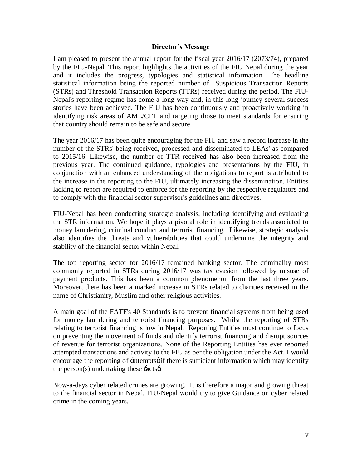#### **Director's Message**

I am pleased to present the annual report for the fiscal year 2016/17 (2073/74), prepared by the FIU-Nepal. This report highlights the activities of the FIU Nepal during the year and it includes the progress, typologies and statistical information. The headline statistical information being the reported number of Suspicious Transaction Reports (STRs) and Threshold Transaction Reports (TTRs) received during the period. The FIU-Nepal's reporting regime has come a long way and, in this long journey several success stories have been achieved. The FIU has been continuously and proactively working in identifying risk areas of AML/CFT and targeting those to meet standards for ensuring that country should remain to be safe and secure.

The year 2016/17 has been quite encouraging for the FIU and saw a record increase in the number of the STRs' being received, processed and disseminated to LEAs' as compared to 2015/16. Likewise, the number of TTR received has also been increased from the previous year. The continued guidance, typologies and presentations by the FIU, in conjunction with an enhanced understanding of the obligations to report is attributed to the increase in the reporting to the FIU, ultimately increasing the dissemination. Entities lacking to report are required to enforce for the reporting by the respective regulators and to comply with the financial sector supervisor's guidelines and directives.

FIU-Nepal has been conducting strategic analysis, including identifying and evaluating the STR information. We hope it plays a pivotal role in identifying trends associated to money laundering, criminal conduct and terrorist financing. Likewise, strategic analysis also identifies the threats and vulnerabilities that could undermine the integrity and stability of the financial sector within Nepal.

The top reporting sector for 2016/17 remained banking sector. The criminality most commonly reported in STRs during 2016/17 was tax evasion followed by misuse of payment products. This has been a common phenomenon from the last three years. Moreover, there has been a marked increase in STRs related to charities received in the name of Christianity, Muslim and other religious activities.

<span id="page-5-0"></span>A main goal of the FATF's 40 Standards is to prevent financial systems from being used for money laundering and terrorist financing purposes. Whilst the reporting of STRs relating to terrorist financing is low in Nepal. Reporting Entities must continue to focus on preventing the movement of funds and identify terrorist financing and disrupt sources of revenue for terrorist organizations. None of the Reporting Entities has ever reported attempted transactions and activity to the FIU as per the obligation under the Act. I would encourage the reporting of  $\pm$ attemptsø if there is sufficient information which may identify the person(s) undertaking these  $\div \text{acts}$ .

Now-a-days cyber related crimes are growing. It is therefore a major and growing threat to the financial sector in Nepal. FIU-Nepal would try to give Guidance on cyber related crime in the coming years.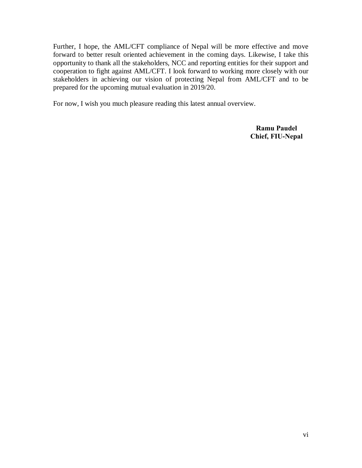Further, I hope, the AML/CFT compliance of Nepal will be more effective and move forward to better result oriented achievement in the coming days. Likewise, I take this opportunity to thank all the stakeholders, NCC and reporting entities for their support and cooperation to fight against AML/CFT. I look forward to working more closely with our stakeholders in achieving our vision of protecting Nepal from AML/CFT and to be prepared for the upcoming mutual evaluation in 2019/20.

For now, I wish you much pleasure reading this latest annual overview.

**Ramu Paudel Chief, FIU-Nepal**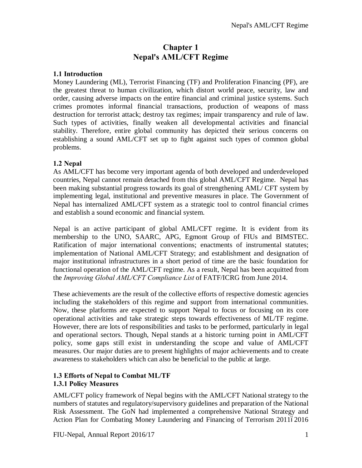## **Chapter 1 Nepal's AML/CFT Regime**

#### **1.1 Introduction**

Money Laundering (ML), Terrorist Financing (TF) and Proliferation Financing (PF), are the greatest threat to human civilization, which distort world peace, security, law and order, causing adverse impacts on the entire financial and criminal justice systems. Such crimes promotes informal financial transactions, production of weapons of mass destruction for terrorist attack; destroy tax regimes; impair transparency and rule of law. Such types of activities, finally weaken all developmental activities and financial stability. Therefore, entire global community has depicted their serious concerns on establishing a sound AML/CFT set up to fight against such types of common global problems.

#### **1.2 Nepal**

As AML/CFT has become very important agenda of both developed and underdeveloped countries, Nepal cannot remain detached from this global AML/CFT Regime. Nepal has been making substantial progress towards its goal of strengthening AML/ CFT system by implementing legal, institutional and preventive measures in place. The Government of Nepal has internalized AML/CFT system as a strategic tool to control financial crimes and establish a sound economic and financial system.

Nepal is an active participant of global AML/CFT regime. It is evident from its membership to the UNO, SAARC, APG, Egmont Group of FIUs and BIMSTEC. Ratification of major international conventions; enactments of instrumental statutes; implementation of National AML/CFT Strategy; and establishment and designation of major institutional infrastructures in a short period of time are the basic foundation for functional operation of the AML/CFT regime. As a result, Nepal has been acquitted from the *Improving Global AML/CFT Compliance List* of FATF/ICRG from June 2014.

These achievements are the result of the collective efforts of respective domestic agencies including the stakeholders of this regime and support from international communities. Now, these platforms are expected to support Nepal to focus or focusing on its core operational activities and take strategic steps towards effectiveness of ML/TF regime. However, there are lots of responsibilities and tasks to be performed, particularly in legal and operational sectors. Though, Nepal stands at a historic turning point in AML/CFT policy, some gaps still exist in understanding the scope and value of AML/CFT measures. Our major duties are to present highlights of major achievements and to create awareness to stakeholders which can also be beneficial to the public at large.

#### <span id="page-7-0"></span>**1.3 Efforts of Nepal to Combat ML/TF 1.3.1 Policy Measures**

<span id="page-7-4"></span><span id="page-7-3"></span><span id="page-7-2"></span><span id="page-7-1"></span>AML/CFT policy framework of Nepal begins with the AML/CFT National strategy to the numbers of statutes and regulatory/supervisory guidelines and preparation of the National Risk Assessment. The GoN had implemented a comprehensive National Strategy and Action Plan for Combating Money Laundering and Financing of Terrorism 201162016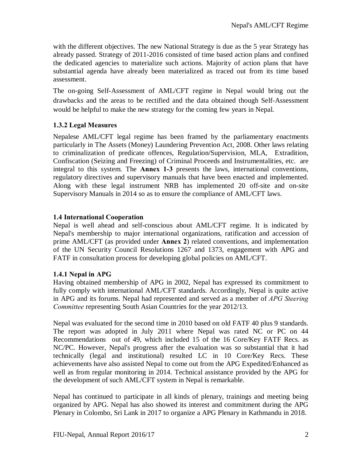with the different objectives. The new National Strategy is due as the 5 year Strategy has already passed. Strategy of 2011-2016 consisted of time based action plans and confined the dedicated agencies to materialize such actions. Majority of action plans that have substantial agenda have already been materialized as traced out from its time based assessment.

The on-going Self-Assessment of AML/CFT regime in Nepal would bring out the drawbacks and the areas to be rectified and the data obtained though Self-Assessment would be helpful to make the new strategy for the coming few years in Nepal.

#### **1.3.2 Legal Measures**

Nepalese AML/CFT legal regime has been framed by the parliamentary enactments particularly in The Assets (Money) Laundering Prevention Act, 2008. Other laws relating to criminalization of predicate offences, Regulation/Supervision, MLA, Extradition, Confiscation (Seizing and Freezing) of Criminal Proceeds and Instrumentalities, etc. are integral to this system. The **Annex 1-3** presents the laws, international conventions, regulatory directives and supervisory manuals that have been enacted and implemented. Along with these legal instrument NRB has implemented 20 off-site and on-site Supervisory Manuals in 2014 so as to ensure the compliance of AML/CFT laws.

#### **1.4 International Cooperation**

Nepal is well ahead and self-conscious about AML/CFT regime. It is indicated by Nepal's membership to major international organizations, ratification and accession of prime AML/CFT (as provided under **Annex 2**) related conventions, and implementation of the UN Security Council Resolutions 1267 and 1373, engagement with APG and FATF in consultation process for developing global policies on AML/CFT.

#### **1.4.1 Nepal in APG**

Having obtained membership of APG in 2002, Nepal has expressed its commitment to fully comply with international AML/CFT standards. Accordingly, Nepal is quite active in APG and its forums. Nepal had represented and served as a member of *APG Steering Committee* representing South Asian Countries for the year 2012/13.

Nepal was evaluated for the second time in 2010 based on old FATF 40 plus 9 standards. The report was adopted in July 2011 where Nepal was rated NC or PC on 44 Recommendations out of 49, which included 15 of the 16 Core/Key FATF Recs. as NC/PC. However, Nepal's progress after the evaluation was so substantial that it had technically (legal and institutional) resulted LC in 10 Core/Key Recs. These achievements have also assisted Nepal to come out from the APG Expedited/Enhanced as well as from regular monitoring in 2014. Technical assistance provided by the APG for the development of such AML/CFT system in Nepal is remarkable.

<span id="page-8-2"></span><span id="page-8-1"></span><span id="page-8-0"></span>Nepal has continued to participate in all kinds of plenary, trainings and meeting being organized by APG. Nepal has also showed its interest and commitment during the APG Plenary in Colombo, Sri Lank in 2017 to organize a APG Plenary in Kathmandu in 2018.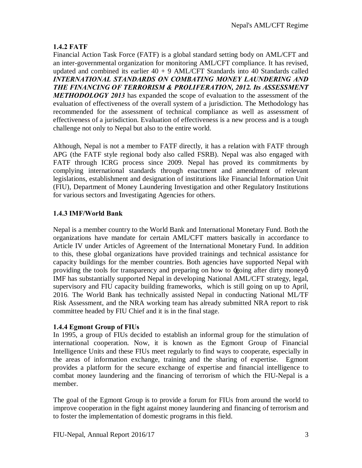#### **1.4.2 FATF**

Financial Action Task Force (FATF) is a global standard setting body on AML/CFT and an inter-governmental organization for monitoring AML/CFT compliance. It has revised, updated and combined its earlier  $40 + 9$  AML/CFT Standards into 40 Standards called *INTERNATIONAL STANDARDS ON COMBATING MONEY LAUNDERING AND THE FINANCING OF TERRORISM & PROLIFERATION, 2012. Its ASSESSMENT METHODOLOGY 2013* has expanded the scope of evaluation to the assessment of the evaluation of effectiveness of the overall system of a jurisdiction. The Methodology has recommended for the assessment of technical compliance as well as assessment of effectiveness of a jurisdiction. Evaluation of effectiveness is a new process and is a tough challenge not only to Nepal but also to the entire world.

Although, Nepal is not a member to FATF directly, it has a relation with FATF through APG (the FATF style regional body also called FSRB). Nepal was also engaged with FATF through ICRG process since 2009. Nepal has proved its commitments by complying international standards through enactment and amendment of relevant legislations, establishment and designation of institutions like Financial Information Unit (FIU), Department of Money Laundering Investigation and other Regulatory Institutions for various sectors and Investigating Agencies for others.

#### **1.4.3 IMF/World Bank**

Nepal is a member country to the World Bank and International Monetary Fund. Both the organizations have mandate for certain AML/CFT matters basically in accordance to Article IV under Articles of Agreement of the International Monetary Fund. In addition to this, these global organizations have provided trainings and technical assistance for capacity buildings for the member countries. Both agencies have supported Nepal with providing the tools for transparency and preparing on how to -going after dirty money  $\alpha$ . IMF has substantially supported Nepal in developing National AML/CFT strategy, legal, supervisory and FIU capacity building frameworks, which is still going on up to April, 2016*.* The World Bank has technically assisted Nepal in conducting National ML/TF Risk Assessment, and the NRA working team has already submitted NRA report to risk committee headed by FIU Chief and it is in the final stage.

#### **1.4.4 Egmont Group of FIUs**

In 1995, a group of FIUs decided to establish an informal group for the stimulation of international cooperation. Now, it is known as the Egmont Group of Financial Intelligence Units and these FIUs meet regularly to find ways to cooperate, especially in the areas of information exchange, training and the sharing of expertise. Egmont provides a platform for the secure exchange of expertise and financial intelligence to combat money laundering and the financing of terrorism of which the FIU-Nepal is a member.

<span id="page-9-2"></span><span id="page-9-1"></span><span id="page-9-0"></span>The goal of the Egmont Group is to provide a forum for FIUs from around the world to improve cooperation in the fight against money laundering and financing of terrorism and to foster the implementation of domestic programs in this field.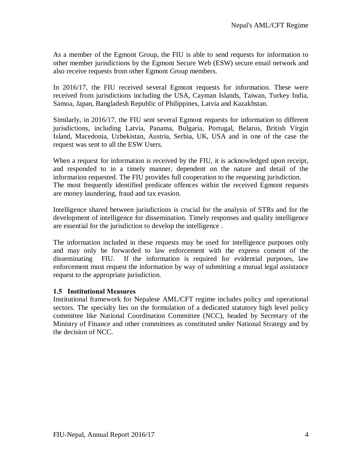As a member of the Egmont Group, the FIU is able to send requests for information to other member jurisdictions by the Egmont Secure Web (ESW) secure email network and also receive requests from other Egmont Group members.

In 2016/17, the FIU received several Egmont requests for information. These were received from jurisdictions including the USA, Cayman Islands, Taiwan, Turkey India, Samoa, Japan, Bangladesh Republic of Philippines, Latvia and Kazakhstan.

Similarly, in 2016/17, the FIU sent several Egmont requests for information to different jurisdictions, including Latvia, Panama, Bulgaria, Portugal, Belarus, British Virgin Island, Macedonia, Uzbekistan, Austria, Serbia, UK, USA and in one of the case the request was sent to all the ESW Users.

When a request for information is received by the FIU, it is acknowledged upon receipt, and responded to in a timely manner, dependent on the nature and detail of the information requested. The FIU provides full cooperation to the requesting jurisdiction. The most frequently identified predicate offences within the received Egmont requests are money laundering, fraud and tax evasion.

Intelligence shared between jurisdictions is crucial for the analysis of STRs and for the development of intelligence for dissemination. Timely responses and quality intelligence are essential for the jurisdiction to develop the intelligence .

The information included in these requests may be used for intelligence purposes only and may only be forwarded to law enforcement with the express consent of the disseminating FIU. If the information is required for evidential purposes, law enforcement must request the information by way of submitting a mutual legal assistance request to the appropriate jurisdiction.

#### **1.5 Institutional Measures**

<span id="page-10-0"></span>Institutional framework for Nepalese AML/CFT regime includes policy and operational sectors. The specialty lies on the formulation of a dedicated statutory high level policy committee like National Coordination Committee (NCC), headed by Secretary of the Ministry of Finance and other committees as constituted under National Strategy and by the decision of NCC.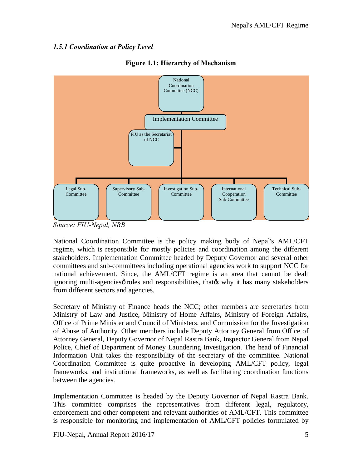#### *1.5.1 Coordination at Policy Level*



**Figure 1.1: Hierarchy of Mechanism**

*Source: FIU-Nepal, NRB*

National Coordination Committee is the policy making body of Nepal's AML/CFT regime, which is responsible for mostly policies and coordination among the different stakeholders. Implementation Committee headed by Deputy Governor and several other committees and sub-committees including operational agencies work to support NCC for national achievement. Since, the AML/CFT regime is an area that cannot be dealt ignoring multi-agencies *o* roles and responsibilities, that *n* why it has many stakeholders from different sectors and agencies.

Secretary of Ministry of Finance heads the NCC; other members are secretaries from Ministry of Law and Justice, Ministry of Home Affairs, Ministry of Foreign Affairs, Office of Prime Minister and Council of Ministers, and Commission for the Investigation of Abuse of Authority. Other members include Deputy Attorney General from Office of Attorney General, Deputy Governor of Nepal Rastra Bank, Inspector General from Nepal Police, Chief of Department of Money Laundering Investigation. The head of Financial Information Unit takes the responsibility of the secretary of the committee. National Coordination Committee is quite proactive in developing AML/CFT policy, legal frameworks, and institutional frameworks, as well as facilitating coordination functions between the agencies.

Implementation Committee is headed by the Deputy Governor of Nepal Rastra Bank. This committee comprises the representatives from different legal, regulatory, enforcement and other competent and relevant authorities of AML/CFT. This committee is responsible for monitoring and implementation of AML/CFT policies formulated by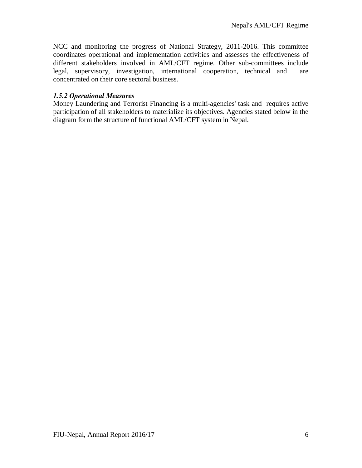NCC and monitoring the progress of National Strategy, 2011-2016. This committee coordinates operational and implementation activities and assesses the effectiveness of different stakeholders involved in AML/CFT regime. Other sub-committees include legal, supervisory, investigation, international cooperation, technical and are concentrated on their core sectoral business.

#### *1.5.2 Operational Measures*

Money Laundering and Terrorist Financing is a multi-agencies' task and requires active participation of all stakeholders to materialize its objectives. Agencies stated below in the diagram form the structure of functional AML/CFT system in Nepal.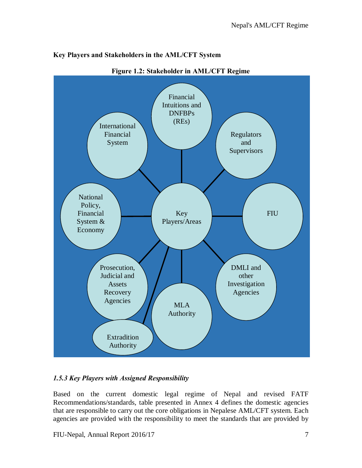

#### **Key Players and Stakeholders in the AML/CFT System**

**Figure 1.2: Stakeholder in AML/CFT Regime**

### *1.5.3 Key Players with Assigned Responsibility*

Based on the current domestic legal regime of Nepal and revised FATF Recommendations/standards, table presented in Annex 4 defines the domestic agencies that are responsible to carry out the core obligations in Nepalese AML/CFT system. Each agencies are provided with the responsibility to meet the standards that are provided by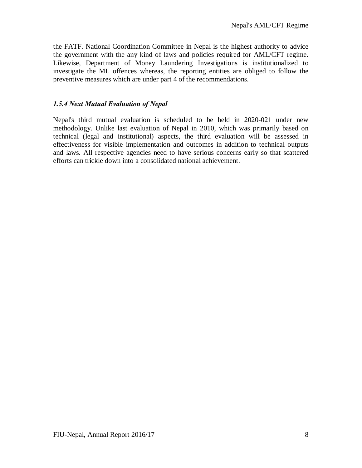the FATF. National Coordination Committee in Nepal is the highest authority to advice the government with the any kind of laws and policies required for AML/CFT regime. Likewise, Department of Money Laundering Investigations is institutionalized to investigate the ML offences whereas, the reporting entities are obliged to follow the preventive measures which are under part 4 of the recommendations.

#### *1.5.4 Next Mutual Evaluation of Nepal*

Nepal's third mutual evaluation is scheduled to be held in 2020-021 under new methodology. Unlike last evaluation of Nepal in 2010, which was primarily based on technical (legal and institutional) aspects, the third evaluation will be assessed in effectiveness for visible implementation and outcomes in addition to technical outputs and laws. All respective agencies need to have serious concerns early so that scattered efforts can trickle down into a consolidated national achievement.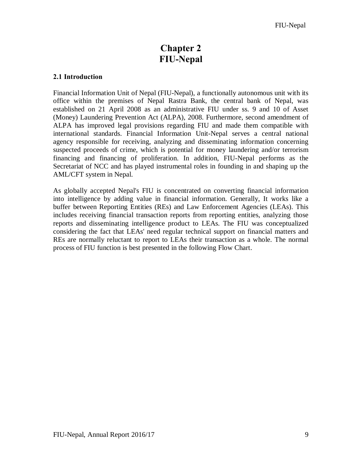## <span id="page-15-1"></span><span id="page-15-0"></span>**Chapter 2 FIU-Nepal**

#### **2.1 Introduction**

Financial Information Unit of Nepal (FIU-Nepal), a functionally autonomous unit with its office within the premises of Nepal Rastra Bank, the central bank of Nepal, was established on 21 April 2008 as an administrative FIU under ss. 9 and 10 of Asset (Money) Laundering Prevention Act (ALPA), 2008. Furthermore, second amendment of ALPA has improved legal provisions regarding FIU and made them compatible with international standards. Financial Information Unit-Nepal serves a central national agency responsible for receiving, analyzing and disseminating information concerning suspected proceeds of crime, which is potential for money laundering and/or terrorism financing and financing of proliferation. In addition, FIU-Nepal performs as the Secretariat of NCC and has played instrumental roles in founding in and shaping up the AML/CFT system in Nepal.

<span id="page-15-2"></span>As globally accepted Nepal's FIU is concentrated on converting financial information into intelligence by adding value in financial information. Generally, It works like a buffer between Reporting Entities (REs) and Law Enforcement Agencies (LEAs). This includes receiving financial transaction reports from reporting entities, analyzing those reports and disseminating intelligence product to LEAs. The FIU was conceptualized considering the fact that LEAs' need regular technical support on financial matters and REs are normally reluctant to report to LEAs their transaction as a whole. The normal process of FIU function is best presented in the following Flow Chart.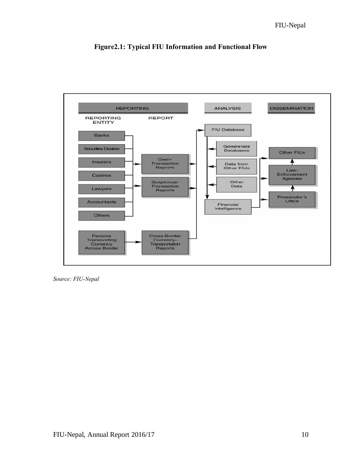

**Figure2.1: Typical FIU Information and Functional Flow**

*Source: FIU-Nepal*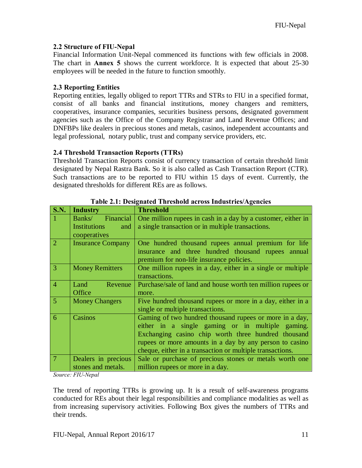#### **2.2 Structure of FIU-Nepal**

Financial Information Unit-Nepal commenced its functions with few officials in 2008. The chart in **Annex 5** shows the current workforce. It is expected that about 25-30 employees will be needed in the future to function smoothly.

#### **2.3 Reporting Entities**

Reporting entities, legally obliged to report TTRs and STRs to FIU in a specified format, consist of all banks and financial institutions, money changers and remitters, cooperatives, insurance companies, securities business persons, designated government agencies such as the Office of the Company Registrar and Land Revenue Offices; and DNFBPs like dealers in precious stones and metals, casinos, independent accountants and legal professional, notary public, trust and company service providers, etc.

#### **2.4 Threshold Transaction Reports (TTRs)**

Threshold Transaction Reports consist of currency transaction of certain threshold limit designated by Nepal Rastra Bank. So it is also called as Cash Transaction Report (CTR). Such transactions are to be reported to FIU within 15 days of event. Currently, the designated thresholds for different REs are as follows.

| <b>S.N.</b>    | <b>Industry</b>          | <b>Threshold</b>                                                                               |
|----------------|--------------------------|------------------------------------------------------------------------------------------------|
| $\vert$ 1      | Financial<br>Banks/      | One million rupees in cash in a day by a customer, either in                                   |
|                | Institutions<br>and      | a single transaction or in multiple transactions.                                              |
|                | cooperatives             |                                                                                                |
| $\sqrt{2}$     | <b>Insurance Company</b> | One hundred thousand rupees annual premium for life                                            |
|                |                          | insurance and three hundred thousand rupees annual<br>premium for non-life insurance policies. |
| 3              | <b>Money Remitters</b>   | One million rupees in a day, either in a single or multiple<br>transactions.                   |
| 4              | Revenue<br>Land          | Purchase/sale of land and house worth ten million rupees or                                    |
|                | Office                   | more.                                                                                          |
| $\overline{5}$ | <b>Money Changers</b>    | Five hundred thousand rupees or more in a day, either in a                                     |
|                |                          | single or multiple transactions.                                                               |
| $\overline{6}$ | Casinos                  | Gaming of two hundred thousand rupees or more in a day,                                        |
|                |                          | either in a single gaming or in multiple gaming.                                               |
|                |                          | Exchanging casino chip worth three hundred thousand                                            |
|                |                          | rupees or more amounts in a day by any person to casino                                        |
|                |                          | cheque, either in a transaction or multiple transactions.                                      |
| $\mid$ 7       | Dealers in precious      | Sale or purchase of precious stones or metals worth one                                        |
|                | stones and metals.       | million rupees or more in a day.                                                               |

**Table 2.1: Designated Threshold across Industries/Agencies**

*Source: FIU-Nepal*

<span id="page-17-2"></span><span id="page-17-1"></span><span id="page-17-0"></span>The trend of reporting TTRs is growing up. It is a result of self-awareness programs conducted for REs about their legal responsibilities and compliance modalities as well as from increasing supervisory activities. Following Box gives the numbers of TTRs and their trends.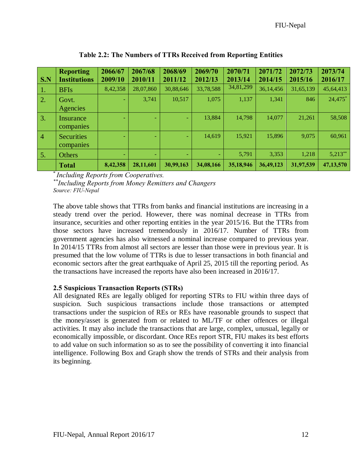| S.N            | <b>Reporting</b><br><b>Institutions</b> | 2066/67<br>2009/10 | 2067/68<br>2010/11 | 2068/69<br>2011/12 | 2069/70<br>2012/13 | 2070/71<br>2013/14 | 2071/72<br>2014/15 | 2072/73<br>2015/16 | 2073/74<br>2016/17 |
|----------------|-----------------------------------------|--------------------|--------------------|--------------------|--------------------|--------------------|--------------------|--------------------|--------------------|
| -1.            | <b>BFIs</b>                             | 8,42,358           | 28,07,860          | 30,88,646          | 33,78,588          | 34,81,299          | 36,14,456          | 31,65,139          | 45,64,413          |
| 2.             | Govt.<br>Agencies                       |                    | 3,741              | 10,517             | 1,075              | 1,137              | 1,341              | 846                | 24,475*            |
| 3.             | Insurance<br>companies                  | ۰                  | ÷                  | ۰                  | 13,884             | 14,798             | 14,077             | 21,261             | 58,508             |
| $\overline{4}$ | <b>Securities</b><br>companies          | ٠                  | ÷                  | ٠                  | 14,619             | 15,921             | 15,896             | 9,075              | 60,961             |
| 5.             | <b>Others</b>                           | ۰                  | ۰                  | ۰                  | ۰                  | 5,791              | 3,353              | 1,218              | $5,213**$          |
|                | <b>Total</b>                            | 8,42,358           | 28,11,601          | 30,99,163          | 34,08,166          | 35,18,946          | 36,49,123          | 31,97,539          | 47,13,570          |

**Table 2.2: The Numbers of TTRs Received from Reporting Entities**

\* *Including Reports from Cooperatives.*

*\*\*Including Reports from Money Remitters and Changers Source: FIU-Nepal*

The above table shows that TTRs from banks and financial institutions are increasing in a steady trend over the period. However, there was nominal decrease in TTRs from insurance, securities and other reporting entities in the year 2015/16. But the TTRs from those sectors have increased tremendously in 2016/17. Number of TTRs from government agencies has also witnessed a nominal increase compared to previous year. In 2014/15 TTRs from almost all sectors are lesser than those were in previous year. It is presumed that the low volume of TTRs is due to lesser transactions in both financial and economic sectors after the great earthquake of April 25, 2015 till the reporting period. As the transactions have increased the reports have also been increased in 2016/17.

#### **2.5 Suspicious Transaction Reports (STRs)**

<span id="page-18-0"></span>All designated REs are legally obliged for reporting STRs to FIU within three days of suspicion. Such suspicious transactions include those transactions or attempted transactions under the suspicion of REs or REs have reasonable grounds to suspect that the money/asset is generated from or related to ML/TF or other offences or illegal activities. It may also include the transactions that are large, complex, unusual, legally or economically impossible, or discordant. Once REs report STR, FIU makes its best efforts to add value on such information so as to see the possibility of converting it into financial intelligence. Following Box and Graph show the trends of STRs and their analysis from its beginning.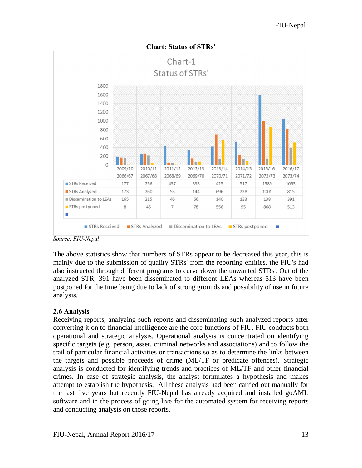$Chart-1$ Status of STRs' 1800 1600 1400 1200 1000 800 600 400 200 **TELEVISION**  $\mathbf 0$ 2012/13 2009/10 2010/11 2011/12 2013/14 2014/15 2015/16 2016/17 2067/68 2069/70 2071/72 2066/67 2068/69 2070/71 2072/73 2073/74 STRs Received 177 256 437 333 425 517 1589 1053 STRs Analyzed 260 53 144 696 228 1001 815 173 Dissemination to LEAs 165 215 46 66 140 133 138 391 STRs postponed  $\mathbf{R}$ 45  $\overline{7}$ 78  $95$ 556 868 513 ٠ STRs Analyzed Dissemination to LEAs STRs postponed STRs Received ٠

**Chart: Status of STRs'**

The above statistics show that numbers of STRs appear to be decreased this year, this is mainly due to the submission of quality STRs' from the reporting entities. the FIU's had also instructed through different programs to curve down the unwanted STRs'. Out of the analyzed STR, 391 have been disseminated to different LEAs whereas 513 have been postponed for the time being due to lack of strong grounds and possibility of use in future analysis.

#### **2.6 Analysis**

<span id="page-19-0"></span>Receiving reports, analyzing such reports and disseminating such analyzed reports after converting it on to financial intelligence are the core functions of FIU. FIU conducts both operational and strategic analysis. Operational analysis is concentrated on identifying specific targets (e.g. person, asset, criminal networks and associations) and to follow the trail of particular financial activities or transactions so as to determine the links between the targets and possible proceeds of crime (ML/TF or predicate offences). Strategic analysis is conducted for identifying trends and practices of ML/TF and other financial crimes. In case of strategic analysis, the analyst formulates a hypothesis and makes attempt to establish the hypothesis. All these analysis had been carried out manually for the last five years but recently FIU-Nepal has already acquired and installed goAML software and in the process of going live for the automated system for receiving reports and conducting analysis on those reports.

*Source: FIU-Nepal*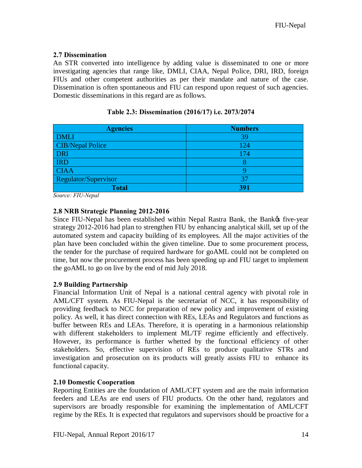#### **2.7 Dissemination**

An STR converted into intelligence by adding value is disseminated to one or more investigating agencies that range like, DMLI, CIAA, Nepal Police, DRI, IRD, foreign FIUs and other competent authorities as per their mandate and nature of the case. Dissemination is often spontaneous and FIU can respond upon request of such agencies. Domestic disseminations in this regard are as follows.

| <b>Agencies</b>         | <b>Numbers</b> |
|-------------------------|----------------|
| <b>DMLI</b>             | 39             |
| <b>CIB/Nepal Police</b> | 124            |
| <b>DRI</b>              | 174            |
| <b>IRD</b>              |                |
| <b>CIAA</b>             |                |
| Regulator/Supervisor    | 31             |
| <b>Total</b>            | 391            |

**Table 2.3: Dissemination (2016/17) i.e. 2073/2074**

*Source: FIU-Nepal*

#### **2.8 NRB Strategic Planning 2012-2016**

Since FIU-Nepal has been established within Nepal Rastra Bank, the Bank to five-year strategy 2012-2016 had plan to strengthen FIU by enhancing analytical skill, set up of the automated system and capacity building of its employees. All the major activities of the plan have been concluded within the given timeline. Due to some procurement process, the tender for the purchase of required hardware for goAML could not be completed on time, but now the procurement process has been speeding up and FIU target to implement the goAML to go on live by the end of mid July 2018.

#### **2.9 Building Partnership**

Financial Information Unit of Nepal is a national central agency with pivotal role in AML/CFT system. As FIU-Nepal is the secretariat of NCC, it has responsibility of providing feedback to NCC for preparation of new policy and improvement of existing policy. As well, it has direct connection with REs, LEAs and Regulators and functions as buffer between REs and LEAs. Therefore, it is operating in a harmonious relationship with different stakeholders to implement ML/TF regime efficiently and effectively. However, its performance is further whetted by the functional efficiency of other stakeholders. So, effective supervision of REs to produce qualitative STRs and investigation and prosecution on its products will greatly assists FIU to enhance its functional capacity.

#### **2.10 Domestic Cooperation**

<span id="page-20-3"></span><span id="page-20-2"></span><span id="page-20-1"></span><span id="page-20-0"></span>Reporting Entities are the foundation of AML/CFT system and are the main information feeders and LEAs are end users of FIU products. On the other hand, regulators and supervisors are broadly responsible for examining the implementation of AML/CFT regime by the REs. It is expected that regulators and supervisors should be proactive for a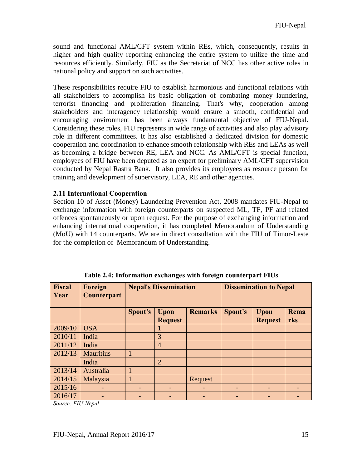sound and functional AML/CFT system within REs, which, consequently, results in higher and high quality reporting enhancing the entire system to utilize the time and resources efficiently. Similarly, FIU as the Secretariat of NCC has other active roles in national policy and support on such activities.

These responsibilities require FIU to establish harmonious and functional relations with all stakeholders to accomplish its basic obligation of combating money laundering, terrorist financing and proliferation financing. That's why, cooperation among stakeholders and interagency relationship would ensure a smooth, confidential and encouraging environment has been always fundamental objective of FIU-Nepal. Considering these roles, FIU represents in wide range of activities and also play advisory role in different committees. It has also established a dedicated division for domestic cooperation and coordination to enhance smooth relationship with REs and LEAs as well as becoming a bridge between RE, LEA and NCC. As AML/CFT is special function, employees of FIU have been deputed as an expert for preliminary AML/CFT supervision conducted by Nepal Rastra Bank. It also provides its employees as resource person for training and development of supervisory, LEA, RE and other agencies.

#### **2.11 International Cooperation**

Section 10 of Asset (Money) Laundering Prevention Act, 2008 mandates FIU-Nepal to exchange information with foreign counterparts on suspected ML, TF, PF and related offences spontaneously or upon request. For the purpose of exchanging information and enhancing international cooperation, it has completed Memorandum of Understanding (MoU) with 14 counterparts. We are in direct consultation with the FIU of Timor-Leste for the completion of Memorandum of Understanding.

| Fiscal<br>Year | Foreign<br><b>Counterpart</b> | <b>Nepal's Dissemination</b> |                        |                |         | <b>Dissemination to Nepal</b> |             |
|----------------|-------------------------------|------------------------------|------------------------|----------------|---------|-------------------------------|-------------|
|                |                               | Spont's                      | Upon<br><b>Request</b> | <b>Remarks</b> | Spont's | Upon<br><b>Request</b>        | Rema<br>rks |
| 2009/10        | <b>USA</b>                    |                              |                        |                |         |                               |             |
| 2010/11        | India                         |                              | 3                      |                |         |                               |             |
| 2011/12        | India                         |                              | 4                      |                |         |                               |             |
| 2012/13        | <b>Mauritius</b>              | 1                            |                        |                |         |                               |             |
|                | India                         |                              | $\overline{2}$         |                |         |                               |             |
| 2013/14        | Australia                     | 1                            |                        |                |         |                               |             |
| 2014/15        | Malaysia                      |                              |                        | Request        |         |                               |             |
| 2015/16        |                               |                              |                        |                |         |                               |             |
| 2016/17        |                               |                              |                        |                |         |                               |             |

**Table 2.4: Information exchanges with foreign counterpart FIUs**

<span id="page-21-0"></span>*Source: FIU-Nepal*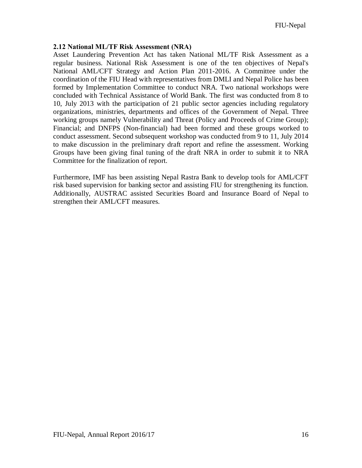#### **2.12 National ML/TF Risk Assessment (NRA)**

Asset Laundering Prevention Act has taken National ML/TF Risk Assessment as a regular business. National Risk Assessment is one of the ten objectives of Nepal's National AML/CFT Strategy and Action Plan 2011-2016. A Committee under the coordination of the FIU Head with representatives from DMLI and Nepal Police has been formed by Implementation Committee to conduct NRA. Two national workshops were concluded with Technical Assistance of World Bank. The first was conducted from 8 to 10, July 2013 with the participation of 21 public sector agencies including regulatory organizations, ministries, departments and offices of the Government of Nepal. Three working groups namely Vulnerability and Threat (Policy and Proceeds of Crime Group); Financial; and DNFPS (Non-financial) had been formed and these groups worked to conduct assessment. Second subsequent workshop was conducted from 9 to 11, July 2014 to make discussion in the preliminary draft report and refine the assessment. Working Groups have been giving final tuning of the draft NRA in order to submit it to NRA Committee for the finalization of report.

<span id="page-22-0"></span>Furthermore, IMF has been assisting Nepal Rastra Bank to develop tools for AML/CFT risk based supervision for banking sector and assisting FIU for strengthening its function. Additionally, AUSTRAC assisted Securities Board and Insurance Board of Nepal to strengthen their AML/CFT measures.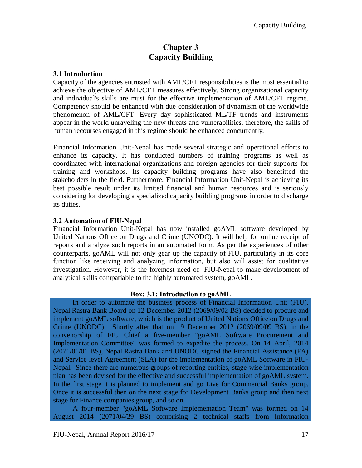## **Chapter 3 Capacity Building**

#### **3.1 Introduction**

Capacity of the agencies entrusted with AML/CFT responsibilities is the most essential to achieve the objective of AML/CFT measures effectively. Strong organizational capacity and individual's skills are must for the effective implementation of AML/CFT regime. Competency should be enhanced with due consideration of dynamism of the worldwide phenomenon of AML/CFT. Every day sophisticated ML/TF trends and instruments appear in the world unraveling the new threats and vulnerabilities, therefore, the skills of human recourses engaged in this regime should be enhanced concurrently.

Financial Information Unit-Nepal has made several strategic and operational efforts to enhance its capacity. It has conducted numbers of training programs as well as coordinated with international organizations and foreign agencies for their supports for training and workshops. Its capacity building programs have also benefitted the stakeholders in the field. Furthermore, Financial Information Unit-Nepal is achieving its best possible result under its limited financial and human resources and is seriously considering for developing a specialized capacity building programs in order to discharge its duties.

#### **3.2 Automation of FIU-Nepal**

Financial Information Unit-Nepal has now installed goAML software developed by United Nations Office on Drugs and Crime (UNODC). It will help for online receipt of reports and analyze such reports in an automated form. As per the experiences of other counterparts, goAML will not only gear up the capacity of FIU, particularly in its core function like receiving and analyzing information, but also will assist for qualitative investigation. However, it is the foremost need of FIU-Nepal to make development of analytical skills compatiable to the highly automated system, goAML.

#### <span id="page-23-3"></span><span id="page-23-2"></span><span id="page-23-1"></span><span id="page-23-0"></span>**Box: 3.1: Introduction to goAML**

 In order to automate the business process of Financial Information Unit (FIU), Nepal Rastra Bank Board on 12 December 2012 (2069/09/02 BS) decided to procure and implement goAML software, which is the product of United Nations Office on Drugs and Crime (UNODC). Shortly after that on 19 December 2012 (2069/09/09 BS), in the convenorship of FIU Chief a five-member "goAML Software Procurement and Implementation Committee" was formed to expedite the process. On 14 April, 2014 (2071/01/01 BS), Nepal Rastra Bank and UNODC signed the Financial Assistance (FA) and Service level Agreement (SLA) for the implementation of goAML Software in FIU-Nepal. Since there are numerous groups of reporting entities, stage-wise implementation plan has been devised for the effective and successful implementation of goAML system. In the first stage it is planned to implement and go Live for Commercial Banks group. Once it is successful then on the next stage for Development Banks group and then next stage for Finance companies group, and so on.

 A four-member "goAML Software Implementation Team" was formed on 14 August 2014 (2071/04/29 BS) comprising 2 technical staffs from Information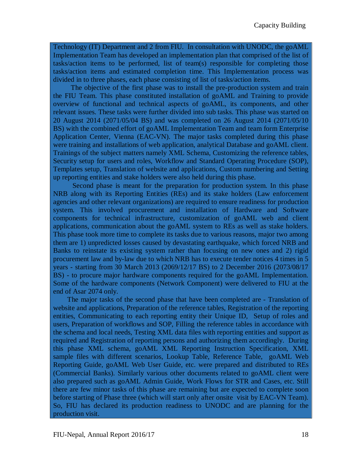Technology (IT) Department and 2 from FIU. In consultation with UNODC, the goAML Implementation Team has developed an implementation plan that comprised of the list of tasks/action items to be performed, list of team(s) responsible for completing those tasks/action items and estimated completion time. This Implementation process was divided in to three phases, each phase consisting of list of tasks/action items.

 The objective of the first phase was to install the pre-production system and train the FIU Team. This phase constituted installation of goAML and Training to provide overview of functional and technical aspects of goAML, its components, and other relevant issues. These tasks were further divided into sub tasks. This phase was started on 20 August 2014 (2071/05/04 BS) and was completed on 26 August 2014 (2071/05/10 BS) with the combined effort of goAML Implementation Team and team form Enterprise Application Center, Vienna (EAC-VN). The major tasks completed during this phase were training and installations of web application, analytical Database and goAML client. Trainings of the subject matters namely XML Schema, Customizing the reference tables, Security setup for users and roles, Workflow and Standard Operating Procedure (SOP), Templates setup, Translation of website and applications, Custom numbering and Setting up reporting entities and stake holders were also held during this phase.

 Second phase is meant for the preparation for production system. In this phase NRB along with its Reporting Entities (REs) and its stake holders (Law enforcement agencies and other relevant organizations) are required to ensure readiness for production system. This involved procurement and installation of Hardware and Software components for technical infrastructure, customization of goAML web and client applications, communication about the goAML system to REs as well as stake holders. This phase took more time to complete its tasks due to various reasons, major two among them are 1) unpredicted losses caused by devastating earthquake, which forced NRB and Banks to reinstate its existing system rather than focusing on new ones and 2) rigid procurement law and by-law due to which NRB has to execute tender notices 4 times in 5 years - starting from 30 March 2013 (2069/12/17 BS) to 2 December 2016 (2073/08/17 BS) - to procure major hardware components required for the goAML Implementation. Some of the hardware components (Network Component) were delivered to FIU at the end of Asar 2074 only.

 The major tasks of the second phase that have been completed are - Translation of website and applications, Preparation of the reference tables, Registration of the reporting entities, Communicating to each reporting entity their Unique ID, Setup of roles and users, Preparation of workflows and SOP, Filling the reference tables in accordance with the schema and local needs, Testing XML data files with reporting entities and support as required and Registration of reporting persons and authorizing them accordingly. During this phase XML schema, goAML XML Reporting Instruction Specification, XML sample files with different scenarios, Lookup Table, Reference Table, goAML Web Reporting Guide, goAML Web User Guide, etc. were prepared and distributed to REs (Commercial Banks). Similarly various other documents related to goAML client were also prepared such as goAML Admin Guide, Work Flows for STR and Cases, etc. Still there are few minor tasks of this phase are remaining but are expected to complete soon before starting of Phase three (which will start only after onsite visit by EAC-VN Team). So, FIU has declared its production readiness to UNODC and are planning for the production visit.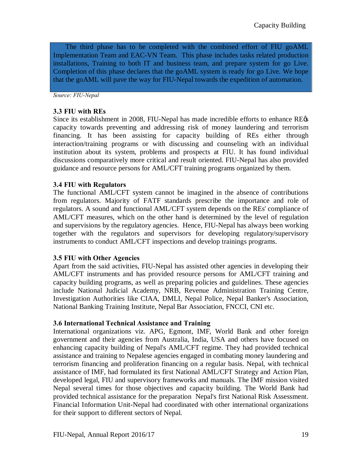The third phase has to be completed with the combined effort of FIU goAML Implementation Team and EAC-VN Team. This phase includes tasks related production installations, Training to both IT and business team, and prepare system for go Live. Completion of this phase declares that the goAML system is ready for go Live. We hope that the goAML will pave the way for FIU-Nepal towards the expedition of automation.

*Source: FIU-Nepal*

#### **3.3 FIU with REs**

Since its establishment in 2008, FIU-Nepal has made incredible efforts to enhance RE $\alpha$ capacity towards preventing and addressing risk of money laundering and terrorism financing. It has been assisting for capacity building of REs either through interaction/training programs or with discussing and counseling with an individual institution about its system, problems and prospects at FIU. It has found individual discussions comparatively more critical and result oriented. FIU-Nepal has also provided guidance and resource persons for AML/CFT training programs organized by them.

#### **3.4 FIU with Regulators**

The functional AML/CFT system cannot be imagined in the absence of contributions from regulators. Majority of FATF standards prescribe the importance and role of regulators. A sound and functional AML/CFT system depends on the REs' compliance of AML/CFT measures, which on the other hand is determined by the level of regulation and supervisions by the regulatory agencies. Hence, FIU-Nepal has always been working together with the regulators and supervisors for developing regulatory/supervisory instruments to conduct AML/CFT inspections and develop trainings programs.

#### **3.5 FIU with Other Agencies**

Apart from the said activities, FIU-Nepal has assisted other agencies in developing their AML/CFT instruments and has provided resource persons for AML/CFT training and capacity building programs, as well as preparing policies and guidelines. These agencies include National Judicial Academy, NRB, Revenue Administration Training Centre, Investigation Authorities like CIAA, DMLI, Nepal Police, Nepal Banker's Association, National Banking Training Institute, Nepal Bar Association, FNCCI, CNI etc.

#### **3.6 International Technical Assistance and Training**

<span id="page-25-3"></span><span id="page-25-2"></span><span id="page-25-1"></span><span id="page-25-0"></span>International organizations viz. APG, Egmont, IMF, World Bank and other foreign government and their agencies from Australia, India, USA and others have focused on enhancing capacity building of Nepal's AML/CFT regime. They had provided technical assistance and training to Nepalese agencies engaged in combating money laundering and terrorism financing and proliferation financing on a regular basis. Nepal, with technical assistance of IMF, had formulated its first National AML/CFT Strategy and Action Plan, developed legal, FIU and supervisory frameworks and manuals. The IMF mission visited Nepal several times for those objectives and capacity building. The World Bank had provided technical assistance for the preparation Nepal's first National Risk Assessment. Financial Information Unit-Nepal had coordinated with other international organizations for their support to different sectors of Nepal.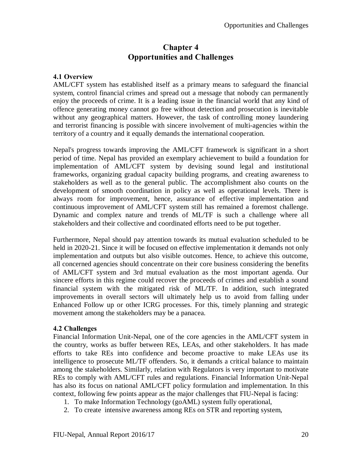## **Chapter 4 Opportunities and Challenges**

#### **4.1 Overview**

AML/CFT system has established itself as a primary means to safeguard the financial system, control financial crimes and spread out a message that nobody can permanently enjoy the proceeds of crime. It is a leading issue in the financial world that any kind of offence generating money cannot go free without detection and prosecution is inevitable without any geographical matters. However, the task of controlling money laundering and terrorist financing is possible with sincere involvement of multi-agencies within the territory of a country and it equally demands the international cooperation.

Nepal's progress towards improving the AML/CFT framework is significant in a short period of time. Nepal has provided an exemplary achievement to build a foundation for implementation of AML/CFT system by devising sound legal and institutional frameworks, organizing gradual capacity building programs, and creating awareness to stakeholders as well as to the general public. The accomplishment also counts on the development of smooth coordination in policy as well as operational levels. There is always room for improvement, hence, assurance of effective implementation and continuous improvement of AML/CFT system still has remained a foremost challenge. Dynamic and complex nature and trends of ML/TF is such a challenge where all stakeholders and their collective and coordinated efforts need to be put together.

Furthermore, Nepal should pay attention towards its mutual evaluation scheduled to be held in 2020-21. Since it will be focused on effective implementation it demands not only implementation and outputs but also visible outcomes. Hence, to achieve this outcome, all concerned agencies should concentrate on their core business considering the benefits of AML/CFT system and 3rd mutual evaluation as the most important agenda. Our sincere efforts in this regime could recover the proceeds of crimes and establish a sound financial system with the mitigated risk of ML/TF. In addition, such integrated improvements in overall sectors will ultimately help us to avoid from falling under Enhanced Follow up or other ICRG processes. For this, timely planning and strategic movement among the stakeholders may be a panacea.

#### <span id="page-26-0"></span>**4.2 Challenges**

Financial Information Unit-Nepal, one of the core agencies in the AML/CFT system in the country, works as buffer between REs, LEAs, and other stakeholders. It has made efforts to take REs into confidence and become proactive to make LEAs use its intelligence to prosecute ML/TF offenders. So, it demands a critical balance to maintain among the stakeholders. Similarly, relation with Regulators is very important to motivate REs to comply with AML/CFT rules and regulations. Financial Information Unit-Nepal has also its focus on national AML/CFT policy formulation and implementation. In this context, following few points appear as the major challenges that FIU-Nepal is facing:

- <span id="page-26-1"></span>1. To make Information Technology (goAML) system fully operational,
- <span id="page-26-3"></span><span id="page-26-2"></span>2. To create intensive awareness among REs on STR and reporting system,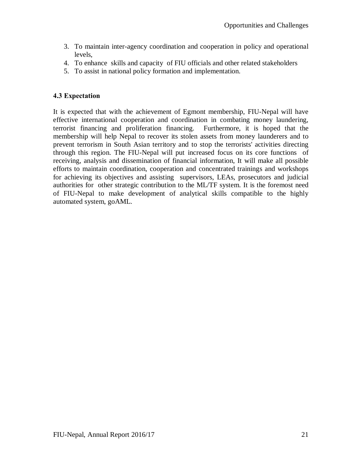- 3. To maintain inter-agency coordination and cooperation in policy and operational levels,
- 4. To enhance skills and capacity of FIU officials and other related stakeholders
- 5. To assist in national policy formation and implementation.

#### **4.3 Expectation**

<span id="page-27-0"></span>It is expected that with the achievement of Egmont membership, FIU-Nepal will have effective international cooperation and coordination in combating money laundering, terrorist financing and proliferation financing. Furthermore, it is hoped that the membership will help Nepal to recover its stolen assets from money launderers and to prevent terrorism in South Asian territory and to stop the terrorists' activities directing through this region. The FIU-Nepal will put increased focus on its core functions of receiving, analysis and dissemination of financial information, It will make all possible efforts to maintain coordination, cooperation and concentrated trainings and workshops for achieving its objectives and assisting supervisors, LEAs, prosecutors and judicial authorities for other strategic contribution to the ML/TF system. It is the foremost need of FIU-Nepal to make development of analytical skills compatible to the highly automated system, goAML.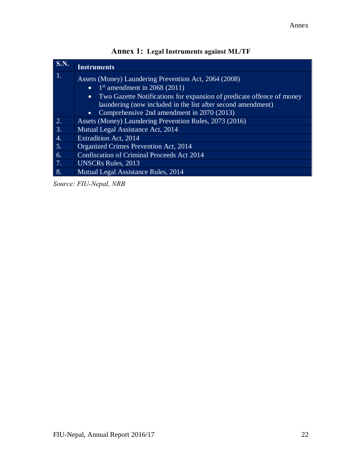| <b>S.N.</b>      | <b>Instruments</b>                                                                 |
|------------------|------------------------------------------------------------------------------------|
| $\overline{1}$ . | Assets (Money) Laundering Prevention Act, 2064 (2008)                              |
|                  | $1st$ amendment in 2068 (2011)<br>$\bullet$                                        |
|                  | Two Gazette Notifications for expansion of predicate offence of money<br>$\bullet$ |
|                  | laundering (now included in the list after second amendment)                       |
|                  | Comprehensive 2nd amendment in 2070 (2013)<br>$\bullet$                            |
| $\frac{2}{3}$    | Assets (Money) Laundering Prevention Rules, 2073 (2016)                            |
|                  | Mutual Legal Assistance Act, 2014                                                  |
| $\frac{4}{5}$    | Extradition Act, 2014                                                              |
|                  | Organized Crimes Prevention Act, 2014                                              |
| 6.               | <b>Confiscation of Criminal Proceeds Act 2014</b>                                  |
| $\frac{7}{8}$    | <b>UNSCRs Rules</b> , 2013                                                         |
|                  | Mutual Legal Assistance Rules, 2014                                                |

| <b>Annex 1: Legal Instruments against ML/TF</b> |  |  |
|-------------------------------------------------|--|--|
|                                                 |  |  |

*Source: FIU-Nepal, NRB*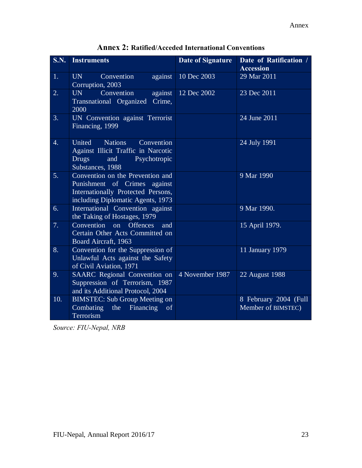| <b>S.N.</b> | <b>Instruments</b>                                                                                                                          | Date of Signature | Date of Ratification /<br><b>Accession</b>  |
|-------------|---------------------------------------------------------------------------------------------------------------------------------------------|-------------------|---------------------------------------------|
| 1.          | Convention<br><b>UN</b><br>against<br>Corruption, 2003                                                                                      | 10 Dec 2003       | 29 Mar 2011                                 |
| 2.          | Convention<br>UN<br>against<br>Transnational Organized<br>Crime,<br>2000                                                                    | 12 Dec 2002       | 23 Dec 2011                                 |
| 3.          | UN Convention against Terrorist<br>Financing, 1999                                                                                          |                   | 24 June 2011                                |
| 4.          | <b>Nations</b><br>United<br>Convention<br>Against Illicit Traffic in Narcotic<br><b>Drugs</b><br>and<br>Psychotropic<br>Substances, 1988    |                   | 24 July 1991                                |
| 5.          | Convention on the Prevention and<br>Punishment of Crimes against<br>Internationally Protected Persons,<br>including Diplomatic Agents, 1973 |                   | 9 Mar 1990                                  |
| 6.          | International Convention against<br>the Taking of Hostages, 1979                                                                            |                   | 9 Mar 1990.                                 |
| 7.          | $Convention$ on<br><b>Offences</b><br>and<br>Certain Other Acts Committed on<br>Board Aircraft, 1963                                        |                   | 15 April 1979.                              |
| 8.          | Convention for the Suppression of<br>Unlawful Acts against the Safety<br>of Civil Aviation, 1971                                            |                   | 11 January 1979                             |
| 9.          | SAARC Regional Convention on<br>Suppression of Terrorism, 1987<br>and its Additional Protocol, 2004                                         | 4 November 1987   | 22 August 1988                              |
| 10.         | <b>BIMSTEC: Sub Group Meeting on</b><br>Combating<br>Financing<br>the<br>of<br>Terrorism                                                    |                   | 8 February 2004 (Full<br>Member of BIMSTEC) |

**Annex 2: Ratified/Acceded International Conventions**

*Source: FIU-Nepal, NRB*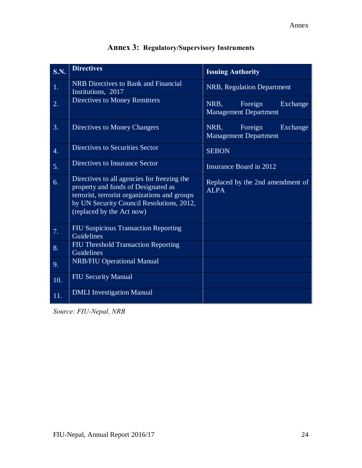| S.N.             | <b>Directives</b>                                                                                                                                                                                             | <b>Issuing Authority</b>                                    |
|------------------|---------------------------------------------------------------------------------------------------------------------------------------------------------------------------------------------------------------|-------------------------------------------------------------|
| 1.               | <b>NRB</b> Directives to Bank and Financial<br>Institutions, 2017                                                                                                                                             | NRB, Regulation Department                                  |
| 2.               | <b>Directives to Money Remitters</b>                                                                                                                                                                          | NRB.<br>Foreign<br>Exchange<br>Management Department        |
| 3.               | Directives to Money Changers                                                                                                                                                                                  | Foreign<br>Exchange<br>NRB,<br><b>Management Department</b> |
| $\overline{4}$ . | Directives to Securities Sector                                                                                                                                                                               | <b>SEBON</b>                                                |
| 5.               | Directives to Insurance Sector                                                                                                                                                                                | Insurance Board in 2012                                     |
| 6.               | Directives to all agencies for freezing the<br>property and funds of Designated as<br>terrorist, terrorist organizations and groups<br>by UN Security Council Resolutions, 2012,<br>(replaced by the Act now) | Replaced by the 2nd amendment of<br><b>ALPA</b>             |
| 7.               | <b>FIU Suspicious Transaction Reporting</b><br>Guidelines                                                                                                                                                     |                                                             |
| 8.               | FIU Threshold Transaction Reporting<br>Guidelines                                                                                                                                                             |                                                             |
| 9.               | <b>NRB/FIU Operational Manual</b>                                                                                                                                                                             |                                                             |
| 10.              | <b>FIU Security Manual</b>                                                                                                                                                                                    |                                                             |
| 11.              | <b>DMLI</b> Investigation Manual                                                                                                                                                                              |                                                             |

# **Annex 3: Regulatory/Supervisory Instruments**

*Source: FIU-Nepal, NRB*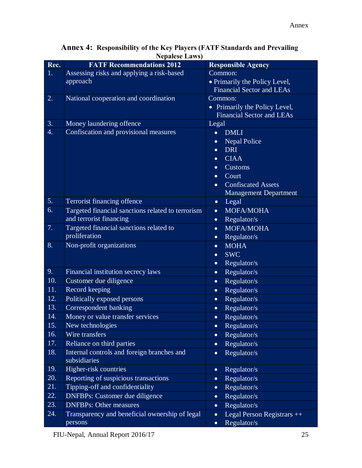| Rec. | <b>FATF Recommendations 2012</b>                                   | <b>Responsible Agency</b>               |
|------|--------------------------------------------------------------------|-----------------------------------------|
| 1.   | Assessing risks and applying a risk-based                          | Common:                                 |
|      | approach                                                           | • Primarily the Policy Level,           |
|      |                                                                    | <b>Financial Sector and LEAs</b>        |
| 2.   | National cooperation and coordination                              | Common:                                 |
|      |                                                                    | • Primarily the Policy Level,           |
|      |                                                                    | <b>Financial Sector and LEAs</b>        |
| 3.   | Money laundering offence                                           | Legal                                   |
| 4.   | Confiscation and provisional measures                              | <b>DMLI</b><br>$\bullet$                |
|      |                                                                    | <b>Nepal Police</b>                     |
|      |                                                                    | <b>DRI</b><br>$\bullet$                 |
|      |                                                                    | <b>CIAA</b><br>$\bullet$                |
|      |                                                                    | Customs<br>$\bullet$                    |
|      |                                                                    | Court<br>$\bullet$                      |
|      |                                                                    | <b>Confiscated Assets</b><br>$\bullet$  |
| 5.   | Terrorist financing offence                                        | <b>Management Department</b>            |
| 6.   |                                                                    | Legal<br>$\bullet$                      |
|      | Targeted financial sanctions related to terrorism                  | MOFA/MOHA<br>$\bullet$                  |
| 7.   | and terrorist financing<br>Targeted financial sanctions related to | Regulator/s<br>$\bullet$                |
|      | proliferation                                                      | MOFA/MOHA<br>$\bullet$                  |
| 8.   | Non-profit organizations                                           | Regulator/s<br>$\bullet$<br><b>MOHA</b> |
|      |                                                                    | $\bullet$<br><b>SWC</b>                 |
|      |                                                                    | $\bullet$<br>Regulator/s<br>$\bullet$   |
| 9.   | Financial institution secrecy laws                                 | Regulator/s<br>$\bullet$                |
| 10.  | Customer due diligence                                             | Regulator/s<br>$\bullet$                |
| 11.  | Record keeping                                                     | Regulator/s<br>$\bullet$                |
| 12.  | Politically exposed persons                                        | Regulator/s<br>$\bullet$                |
| 13.  | Correspondent banking                                              | Regulator/s<br>$\bullet$                |
| 14.  | Money or value transfer services                                   | Regulator/s<br>$\bullet$                |
| 15.  | New technologies                                                   | Regulator/s<br>$\bullet$                |
| 16.  | Wire transfers                                                     | Regulator/s<br>$\bullet$                |
| 17.  | Reliance on third parties                                          | Regulator/s<br>$\bullet$                |
| 18.  | Internal controls and foreign branches and                         | Regulator/s<br>$\bullet$                |
|      | subsidiaries                                                       |                                         |
| 19.  | Higher-risk countries                                              | Regulator/s<br>$\bullet$                |
| 20.  | Reporting of suspicious transactions                               | Regulator/s<br>$\bullet$                |
| 21.  | Tipping-off and confidentiality                                    | Regulator/s<br>$\bullet$                |
| 22.  | <b>DNFBPs: Customer due diligence</b>                              | Regulator/s<br>$\bullet$                |
| 23.  | <b>DNFBPs: Other measures</b>                                      | Regulator/s<br>$\bullet$                |
| 24.  | Transparency and beneficial ownership of legal                     | Legal Person Registrars ++<br>$\bullet$ |
|      | persons                                                            | Regulator/s<br>$\bullet$                |

#### **Annex 4: Responsibility of the Key Players (FATF Standards and Prevailing Nepalese Laws)**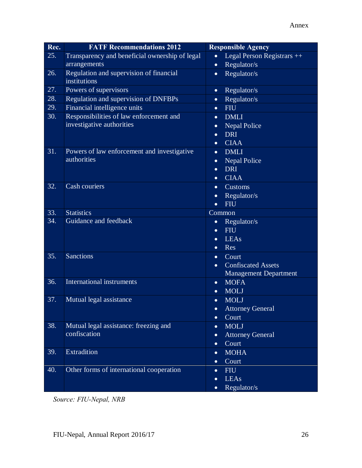| Rec. | <b>FATF Recommendations 2012</b>                        | <b>Responsible Agency</b>               |
|------|---------------------------------------------------------|-----------------------------------------|
| 25.  | Transparency and beneficial ownership of legal          | Legal Person Registrars ++<br>$\bullet$ |
|      | arrangements                                            | Regulator/s<br>$\bullet$                |
| 26.  | Regulation and supervision of financial<br>institutions | Regulator/s<br>$\bullet$                |
| 27.  | Powers of supervisors                                   | Regulator/s<br>$\bullet$                |
| 28.  | Regulation and supervision of DNFBPs                    | Regulator/s<br>$\bullet$                |
| 29.  | Financial intelligence units                            | <b>FIU</b><br>$\bullet$                 |
| 30.  | Responsibilities of law enforcement and                 | <b>DMLI</b><br>$\bullet$                |
|      | investigative authorities                               | <b>Nepal Police</b><br>$\bullet$        |
|      |                                                         | <b>DRI</b><br>$\bullet$                 |
|      |                                                         | <b>CIAA</b><br>$\bullet$                |
| 31.  | Powers of law enforcement and investigative             | <b>DMLI</b><br>$\bullet$                |
|      | authorities                                             | <b>Nepal Police</b><br>$\bullet$        |
|      |                                                         | <b>DRI</b><br>$\bullet$                 |
|      |                                                         | <b>CIAA</b><br>$\bullet$                |
| 32.  | Cash couriers                                           | Customs<br>$\bullet$                    |
|      |                                                         | Regulator/s<br>$\bullet$                |
|      |                                                         | <b>FIU</b><br>$\bullet$                 |
| 33.  | <b>Statistics</b>                                       | Common                                  |
| 34.  | Guidance and feedback                                   | Regulator/s<br>$\bullet$                |
|      |                                                         | <b>FIU</b><br>$\bullet$                 |
|      |                                                         | LEAs<br>$\bullet$                       |
|      |                                                         | Res<br>$\bullet$                        |
| 35.  | <b>Sanctions</b>                                        | Court<br>$\bullet$                      |
|      |                                                         | <b>Confiscated Assets</b><br>$\bullet$  |
|      |                                                         | <b>Management Department</b>            |
| 36.  | <b>International instruments</b>                        | <b>MOFA</b><br>$\bullet$                |
|      |                                                         | <b>MOLJ</b><br>$\bullet$                |
| 37.  | Mutual legal assistance                                 | <b>MOLJ</b><br>$\bullet$                |
|      |                                                         | <b>Attorney General</b><br>$\bullet$    |
|      |                                                         | Court<br>$\bullet$                      |
| 38.  | Mutual legal assistance: freezing and<br>confiscation   | <b>MOLJ</b><br>$\bullet$                |
|      |                                                         | <b>Attorney General</b><br>$\bullet$    |
|      |                                                         | Court<br>$\bullet$                      |
| 39.  | <b>Extradition</b>                                      | <b>MOHA</b><br>$\bullet$                |
|      |                                                         | Court<br>$\bullet$                      |
| 40.  | Other forms of international cooperation                | <b>FIU</b><br>$\bullet$                 |
|      |                                                         | <b>LEAs</b><br>$\bullet$                |
|      |                                                         | Regulator/s<br>$\bullet$                |

*Source: FIU-Nepal, NRB*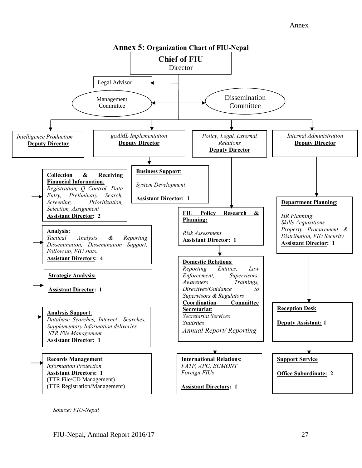#### Annex



*Source: FIU-Nepal*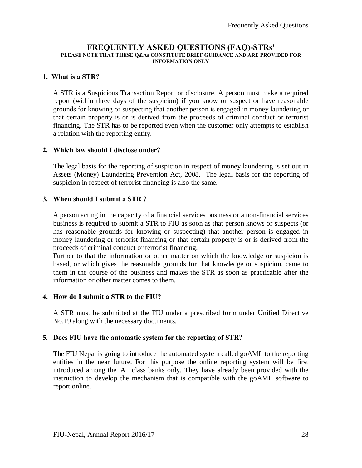#### **FREQUENTLY ASKED QUESTIONS (FAQ)-STRs' PLEASE NOTE THAT THESE Q&As CONSTITUTE BRIEF GUIDANCE AND ARE PROVIDED FOR INFORMATION ONLY**

#### **1. What is a STR?**

A STR is a Suspicious Transaction Report or disclosure. A person must make a required report (within three days of the suspicion) if you know or suspect or have reasonable grounds for knowing or suspecting that another person is engaged in money laundering or that certain property is or is derived from the proceeds of criminal conduct or terrorist financing. The STR has to be reported even when the customer only attempts to establish a relation with the reporting entity.

#### **2. Which law should I disclose under?**

The legal basis for the reporting of suspicion in respect of money laundering is set out in Assets (Money) Laundering Prevention Act, 2008. The legal basis for the reporting of suspicion in respect of terrorist financing is also the same.

#### **3. When should I submit a STR ?**

A person acting in the capacity of a financial services business or a non-financial services business is required to submit a STR to FIU as soon as that person knows or suspects (or has reasonable grounds for knowing or suspecting) that another person is engaged in money laundering or terrorist financing or that certain property is or is derived from the proceeds of criminal conduct or terrorist financing.

Further to that the information or other matter on which the knowledge or suspicion is based, or which gives the reasonable grounds for that knowledge or suspicion, came to them in the course of the business and makes the STR as soon as practicable after the information or other matter comes to them.

#### **4. How do I submit a STR to the FIU?**

A STR must be submitted at the FIU under a prescribed form under Unified Directive No.19 along with the necessary documents.

#### **5. Does FIU have the automatic system for the reporting of STR?**

<span id="page-34-0"></span>The FIU Nepal is going to introduce the automated system called goAML to the reporting entities in the near future. For this purpose the online reporting system will be first introduced among the 'A' class banks only. They have already been provided with the instruction to develop the mechanism that is compatible with the goAML software to report online.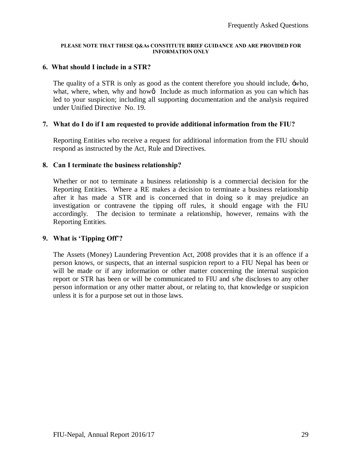#### **PLEASE NOTE THAT THESE Q&As CONSTITUTE BRIEF GUIDANCE AND ARE PROVIDED FOR INFORMATION ONLY**

#### **6. What should I include in a STR?**

The quality of a STR is only as good as the content therefore you should include, 'who, what, where, when, why and how aInclude as much information as you can which has led to your suspicion; including all supporting documentation and the analysis required under Unified Directive No. 19.

#### **7. What do I do if I am requested to provide additional information from the FIU?**

Reporting Entities who receive a request for additional information from the FIU should respond as instructed by the Act, Rule and Directives.

#### **8. Can I terminate the business relationship?**

Whether or not to terminate a business relationship is a commercial decision for the Reporting Entities. Where a RE makes a decision to terminate a business relationship after it has made a STR and is concerned that in doing so it may prejudice an investigation or contravene the tipping off rules, it should engage with the FIU accordingly. The decision to terminate a relationship, however, remains with the Reporting Entities.

#### **9. What is 'Tipping Off'?**

The Assets (Money) Laundering Prevention Act, 2008 provides that it is an offence if a person knows, or suspects, that an internal suspicion report to a FIU Nepal has been or will be made or if any information or other matter concerning the internal suspicion report or STR has been or will be communicated to FIU and s/he discloses to any other person information or any other matter about, or relating to, that knowledge or suspicion unless it is for a purpose set out in those laws.